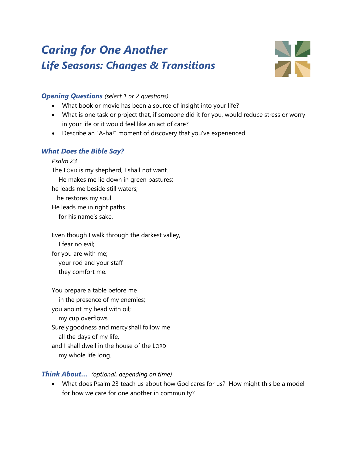# *Caring for One Another Life Seasons: Changes & Transitions*



## *Opening Questions (select 1 or 2 questions)*

- What book or movie has been a source of insight into your life?
- What is one task or project that, if someone did it for you, would reduce stress or worry in your life or it would feel like an act of care?
- Describe an "A-ha!" moment of discovery that you've experienced.

## *What Does the Bible Say?*

*Psalm 23* The LORD is my shepherd, I shall not want. He makes me lie down in green pastures; he leads me beside still waters; he restores my soul. He leads me in right paths for his name's sake.

Even though I walk through the darkest valley, I fear no evil; for you are with me; your rod and your staff they comfort me.

You prepare a table before me in the presence of my enemies; you anoint my head with oil; my cup overflows. Surelygoodness and mercy shall follow me all the days of my life, and I shall dwell in the house of the LORD my whole life long.

## *Think About… (optional, depending on time)*

• What does Psalm 23 teach us about how God cares for us? How might this be a model for how we care for one another in community?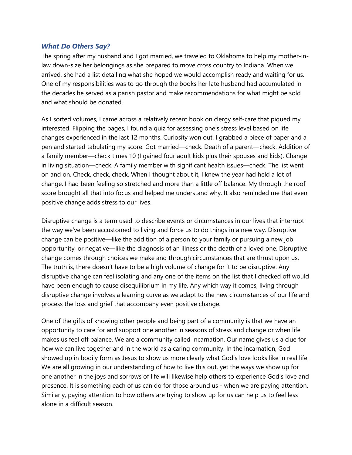#### *What Do Others Say?*

The spring after my husband and I got married, we traveled to Oklahoma to help my mother-inlaw down-size her belongings as she prepared to move cross country to Indiana. When we arrived, she had a list detailing what she hoped we would accomplish ready and waiting for us. One of my responsibilities was to go through the books her late husband had accumulated in the decades he served as a parish pastor and make recommendations for what might be sold and what should be donated.

As I sorted volumes, I came across a relatively recent book on clergy self-care that piqued my interested. Flipping the pages, I found a quiz for assessing one's stress level based on life changes experienced in the last 12 months. Curiosity won out. I grabbed a piece of paper and a pen and started tabulating my score. Got married—check. Death of a parent—check. Addition of a family member—check times 10 (I gained four adult kids plus their spouses and kids). Change in living situation—check. A family member with significant health issues—check. The list went on and on. Check, check, check. When I thought about it, I knew the year had held a lot of change. I had been feeling so stretched and more than a little off balance. My through the roof score brought all that into focus and helped me understand why. It also reminded me that even positive change adds stress to our lives.

Disruptive change is a term used to describe events or circumstances in our lives that interrupt the way we've been accustomed to living and force us to do things in a new way. Disruptive change can be positive—like the addition of a person to your family or pursuing a new job opportunity, or negative—like the diagnosis of an illness or the death of a loved one. Disruptive change comes through choices we make and through circumstances that are thrust upon us. The truth is, there doesn't have to be a high volume of change for it to be disruptive. Any disruptive change can feel isolating and any one of the items on the list that I checked off would have been enough to cause disequilibrium in my life. Any which way it comes, living through disruptive change involves a learning curve as we adapt to the new circumstances of our life and process the loss and grief that accompany even positive change.

One of the gifts of knowing other people and being part of a community is that we have an opportunity to care for and support one another in seasons of stress and change or when life makes us feel off balance. We are a community called Incarnation. Our name gives us a clue for how we can live together and in the world as a caring community. In the incarnation, God showed up in bodily form as Jesus to show us more clearly what God's love looks like in real life. We are all growing in our understanding of how to live this out, yet the ways we show up for one another in the joys and sorrows of life will likewise help others to experience God's love and presence. It is something each of us can do for those around us - when we are paying attention. Similarly, paying attention to how others are trying to show up for us can help us to feel less alone in a difficult season.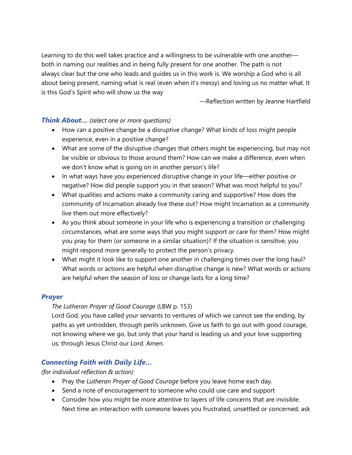Learning to do this well takes practice and a willingness to be vulnerable with one another both in naming our realities and in being fully present for one another. The path is not always clear but the one who leads and guides us in this work is. We worship a God who is all about being present, naming what is real (even when it's messy) and loving us no matter what. It is this God's Spirit who will show us the way

—Reflection written by Jeanne Hartfield

#### *Think About… (select one or more questions)*

- How can a positive change be a disruptive change? What kinds of loss might people experience, even in a positive change?
- What are some of the disruptive changes that others might be experiencing, but may not be visible or obvious to those around them? How can we make a difference, even when we don't know what is going on in another person's life?
- In what ways have you experienced disruptive change in your life—either positive or negative? How did people support you in that season? What was most helpful to you?
- What qualities and actions make a community caring and supportive? How does the community of Incarnation already live these out? How might Incarnation as a community live them out more effectively?
- As you think about someone in your life who is experiencing a transition or challenging circumstances, what are some ways that you might support or care for them? How might you pray for them (or someone in a similar situation)? If the situation is sensitive, you might respond more generally to protect the person's privacy.
- What might it look like to support one another in challenging times over the long haul? What words or actions are helpful when disruptive change is new? What words or actions are helpful when the season of loss or change lasts for a long time?

#### *Prayer*

## *The Lutheran Prayer of Good Courage* (LBW p. 153)

Lord God, you have called your servants to ventures of which we cannot see the ending, by paths as yet untrodden, through perils unknown. Give us faith to go out with good courage, not knowing where we go, but only that your hand is leading us and your love supporting us; through Jesus Christ our Lord. Amen.

## *Connecting Faith with Daily Life…*

*(for individual reflection & action)*

- Pray the *Lutheran Prayer of Good Courage* before you leave home each day.
- Send a note of encouragement to someone who could use care and support
- Consider how you might be more attentive to layers of life concerns that are invisible. Next time an interaction with someone leaves you frustrated, unsettled or concerned, ask